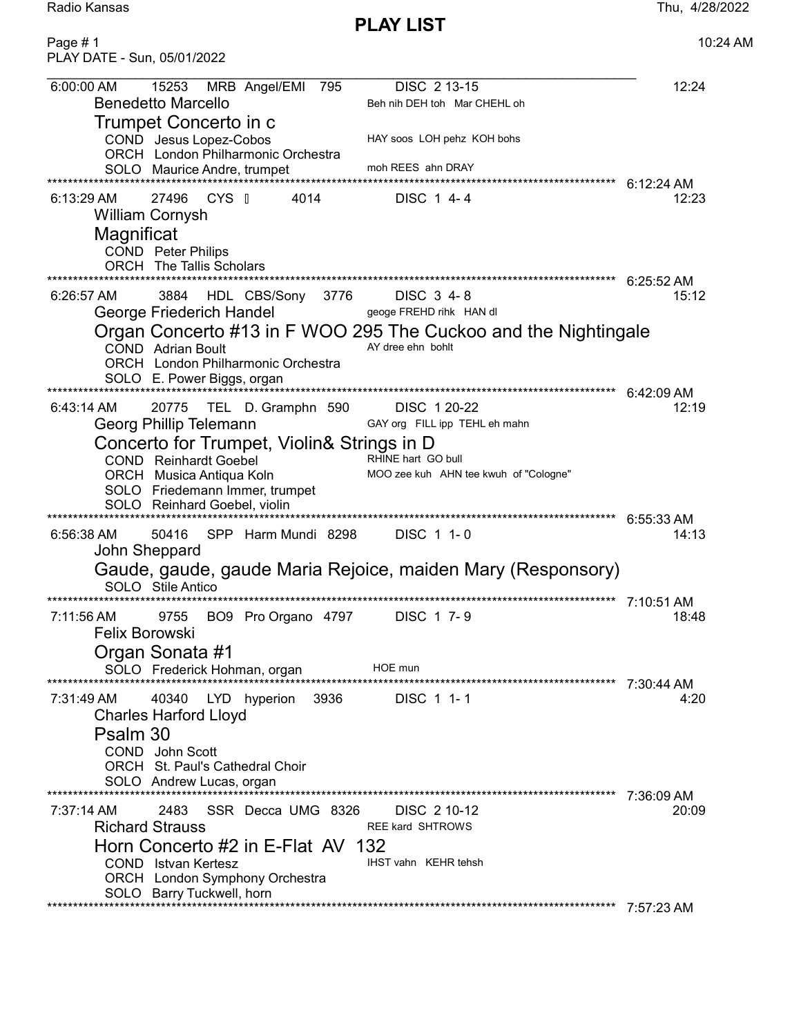Radio Kansas Thu, 4/28/2022

PLAY LIST

Page # 1 10:24 AM PLAY DATE - Sun, 05/01/2022 6:00:00 AM 15253 MRB Angel/EMI 795 DISC 2 13-15 12:24 Benedetto Marcello Beh nih DEH toh Mar CHEHL oh Trumpet Concerto in c COND Jesus Lopez-Cobos HAY soos LOH pehz KOH bohs ORCH London Philharmonic Orchestra SOLO Maurice Andre, trumpet moh REES ahn DRAY \*\*\*\*\*\*\*\*\*\*\*\*\*\*\*\*\*\*\*\*\*\*\*\*\*\*\*\*\*\*\*\*\*\*\*\*\*\*\*\*\*\*\*\*\*\*\*\*\*\*\*\*\*\*\*\*\*\*\*\*\*\*\*\*\*\*\*\*\*\*\*\*\*\*\*\*\*\*\*\*\*\*\*\*\*\*\*\*\*\*\*\*\*\*\*\*\*\*\*\*\*\*\*\*\*\*\*\*\*\* 6:12:24 AM 6:13:29 AM 27496 CYS | 4014 DISC 1 4-4 William Cornysh **Magnificat**  COND Peter Philips ORCH The Tallis Scholars \*\*\*\*\*\*\*\*\*\*\*\*\*\*\*\*\*\*\*\*\*\*\*\*\*\*\*\*\*\*\*\*\*\*\*\*\*\*\*\*\*\*\*\*\*\*\*\*\*\*\*\*\*\*\*\*\*\*\*\*\*\*\*\*\*\*\*\*\*\*\*\*\*\*\*\*\*\*\*\*\*\*\*\*\*\*\*\*\*\*\*\*\*\*\*\*\*\*\*\*\*\*\*\*\*\*\*\*\*\* 6:25:52 AM 6:26:57 AM 3884 HDL CBS/Sony 3776 DISC 3 4-8 George Friederich Handel **George FREHD rihk HAN dl** Organ Concerto #13 in F WOO 295 The Cuckoo and the Nightingale<br>COND Adrian Boult COND Adrian Boult ORCH London Philharmonic Orchestra SOLO E. Power Biggs, organ \*\*\*\*\*\*\*\*\*\*\*\*\*\*\*\*\*\*\*\*\*\*\*\*\*\*\*\*\*\*\*\*\*\*\*\*\*\*\*\*\*\*\*\*\*\*\*\*\*\*\*\*\*\*\*\*\*\*\*\*\*\*\*\*\*\*\*\*\*\*\*\*\*\*\*\*\*\*\*\*\*\*\*\*\*\*\*\*\*\*\*\*\*\*\*\*\*\*\*\*\*\*\*\*\*\*\*\*\*\* 6:42:09 AM 6:43:14 AM 20775 TEL D. Gramphn 590 DISC 1 20-22 12:19 Georg Phillip Telemann GAY org FILL ipp TEHL eh mahn Concerto for Trumpet, Violin& Strings in D COND Reinhardt Goebel RHINE hart GO bull ORCH Musica Antiqua Koln MOO zee kuh AHN tee kwuh of "Cologne" SOLO Friedemann Immer, trumpet SOLO Reinhard Goebel, violin \*\*\*\*\*\*\*\*\*\*\*\*\*\*\*\*\*\*\*\*\*\*\*\*\*\*\*\*\*\*\*\*\*\*\*\*\*\*\*\*\*\*\*\*\*\*\*\*\*\*\*\*\*\*\*\*\*\*\*\*\*\*\*\*\*\*\*\*\*\*\*\*\*\*\*\*\*\*\*\*\*\*\*\*\*\*\*\*\*\*\*\*\*\*\*\*\*\*\*\*\*\*\*\*\*\*\*\*\*\* 6:55:33 AM 6:56:38 AM 50416 SPP Harm Mundi 8298 DISC 1 1- 0 14:13 John Sheppard Gaude, gaude, gaude Maria Rejoice, maiden Mary (Responsory) SOLO Stile Antico \*\*\*\*\*\*\*\*\*\*\*\*\*\*\*\*\*\*\*\*\*\*\*\*\*\*\*\*\*\*\*\*\*\*\*\*\*\*\*\*\*\*\*\*\*\*\*\*\*\*\*\*\*\*\*\*\*\*\*\*\*\*\*\*\*\*\*\*\*\*\*\*\*\*\*\*\*\*\*\*\*\*\*\*\*\*\*\*\*\*\*\*\*\*\*\*\*\*\*\*\*\*\*\*\*\*\*\*\*\* 7:10:51 AM 7:11:56 AM 9755 BO9 Pro Organo 4797 DISC 1 7-9 Felix Borowski Organ Sonata #1 SOLO Frederick Hohman, organ HOE mun \*\*\*\*\*\*\*\*\*\*\*\*\*\*\*\*\*\*\*\*\*\*\*\*\*\*\*\*\*\*\*\*\*\*\*\*\*\*\*\*\*\*\*\*\*\*\*\*\*\*\*\*\*\*\*\*\*\*\*\*\*\*\*\*\*\*\*\*\*\*\*\*\*\*\*\*\*\*\*\*\*\*\*\*\*\*\*\*\*\*\*\*\*\*\*\*\*\*\*\*\*\*\*\*\*\*\*\*\*\* 7:30:44 AM 7:31:49 AM 40340 LYD hyperion 3936 DISC 1 1- 1 4:20 Charles Harford Lloyd Psalm 30 COND John Scott ORCH St. Paul's Cathedral Choir SOLO Andrew Lucas, organ \*\*\*\*\*\*\*\*\*\*\*\*\*\*\*\*\*\*\*\*\*\*\*\*\*\*\*\*\*\*\*\*\*\*\*\*\*\*\*\*\*\*\*\*\*\*\*\*\*\*\*\*\*\*\*\*\*\*\*\*\*\*\*\*\*\*\*\*\*\*\*\*\*\*\*\*\*\*\*\*\*\*\*\*\*\*\*\*\*\*\*\*\*\*\*\*\*\*\*\*\*\*\*\*\*\*\*\*\*\* 7:36:09 AM 7:37:14 AM 2483 SSR Decca UMG 8326 DISC 2 10-12 20:09 Richard Strauss **REE RAIG SHTROWS** Horn Concerto #2 in E-Flat AV 132<br>COND Istvan Kertesz COND Istvan Kertesz ORCH London Symphony Orchestra SOLO Barry Tuckwell, horn \*\*\*\*\*\*\*\*\*\*\*\*\*\*\*\*\*\*\*\*\*\*\*\*\*\*\*\*\*\*\*\*\*\*\*\*\*\*\*\*\*\*\*\*\*\*\*\*\*\*\*\*\*\*\*\*\*\*\*\*\*\*\*\*\*\*\*\*\*\*\*\*\*\*\*\*\*\*\*\*\*\*\*\*\*\*\*\*\*\*\*\*\*\*\*\*\*\*\*\*\*\*\*\*\*\*\*\*\*\* 7:57:23 AM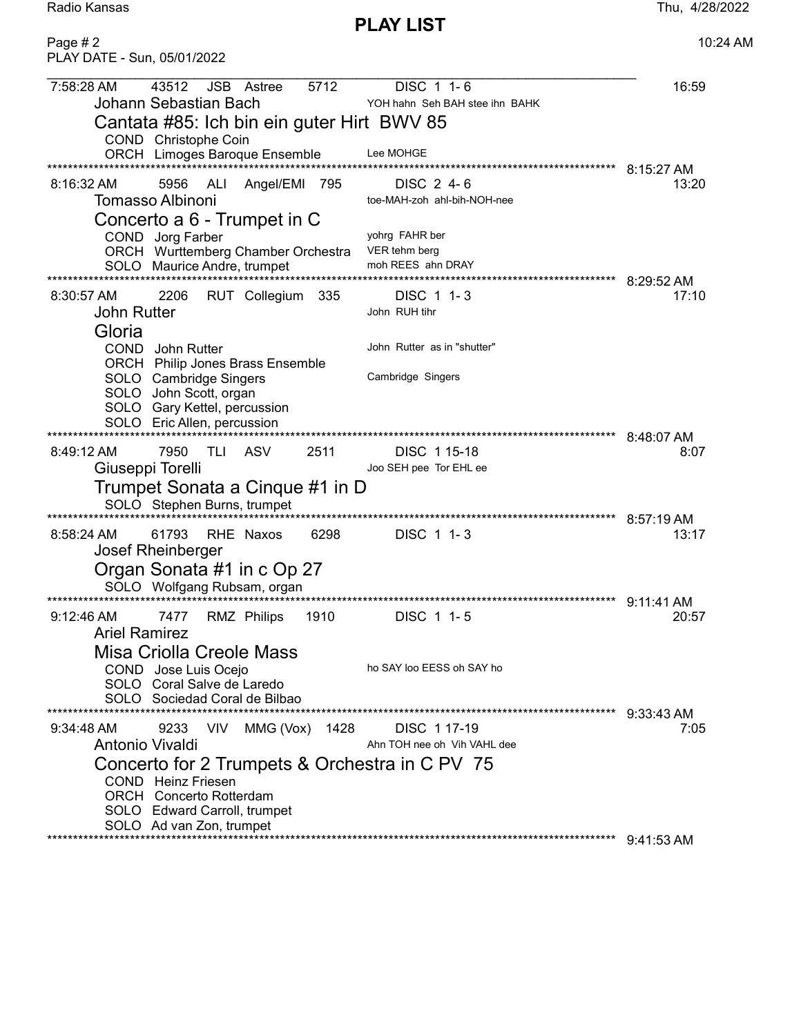Radio Kansas

**PLAY LIST** 

| Page #2<br>PLAY DATE - Sun, 05/01/2022                                                                                                                                                                                                                                                                                                       | 10:24 AM                                   |
|----------------------------------------------------------------------------------------------------------------------------------------------------------------------------------------------------------------------------------------------------------------------------------------------------------------------------------------------|--------------------------------------------|
| 43512<br>5712<br>7:58:28 AM<br><b>JSB</b> Astree<br>DISC 1 1-6<br>Johann Sebastian Bach<br>YOH hahn Seh BAH stee ihn BAHK<br>Cantata #85: Ich bin ein guter Hirt BWV 85<br>COND Christophe Coin                                                                                                                                              | 16:59                                      |
| Lee MOHGE<br>ORCH Limoges Baroque Ensemble<br>DISC 2 4-6<br>$8:16:32 \text{ AM}$<br>5956<br>ALI<br>Angel/EMI 795<br><b>Tomasso Albinoni</b><br>toe-MAH-zoh ahl-bih-NOH-nee<br>Concerto a 6 - Trumpet in C                                                                                                                                    | 8:15:27 AM<br>13:20                        |
| yohrg FAHR ber<br>COND Jorg Farber<br>VER tehm berg<br>ORCH Wurttemberg Chamber Orchestra<br>moh REES ahn DRAY<br>SOLO Maurice Andre, trumpet                                                                                                                                                                                                | 8:29:52 AM                                 |
| 2206<br>RUT Collegium<br>$8:30:57$ AM<br>- 335<br>DISC 1 1-3<br><b>John Rutter</b><br>John RUH tihr<br>Gloria<br>John Rutter as in "shutter"<br>COND John Rutter<br>ORCH Philip Jones Brass Ensemble<br>SOLO Cambridge Singers<br>Cambridge Singers<br>SOLO John Scott, organ<br>SOLO Gary Kettel, percussion<br>SOLO Eric Allen, percussion | 17:10                                      |
| ***************************<br>****************************<br>ASV<br>$8:49:12 \text{ AM}$<br>TLI<br>2511<br>DISC 115-18<br>7950<br>Giuseppi Torelli<br>Joo SEH pee Tor EHL ee<br>Trumpet Sonata a Cinque #1 in D<br>SOLO Stephen Burns, trumpet                                                                                             | 8:48:07 AM<br>8:07                         |
| *****************************<br>6298<br>61793<br>RHE Naxos<br>DISC 1 1-3<br>8:58:24 AM<br>Josef Rheinberger<br>Organ Sonata #1 in c Op 27<br>SOLO Wolfgang Rubsam, organ<br>****************************                                                                                                                                    | $8:57:19$ AM<br>13:17                      |
| RMZ Philips<br>1910<br>$9:12:46 \text{ AM}$<br>7477<br>DISC 1 1-5<br><b>Ariel Ramirez</b><br><b>Misa Criolla Creole Mass</b><br>ho SAY loo EESS oh SAY ho<br>COND Jose Luis Ocejo<br>SOLO Coral Salve de Laredo<br>SOLO Sociedad Coral de Bilbao                                                                                             | 9:11:41 AM<br>20:57                        |
| <b>VIV</b><br>MMG (Vox) 1428<br>DISC 117-19<br>9:34:48 AM<br>9233<br>Antonio Vivaldi<br>Ahn TOH nee oh Vih VAHL dee<br>Concerto for 2 Trumpets & Orchestra in C PV 75<br>COND Heinz Friesen<br><b>ORCH</b> Concerto Rotterdam<br>SOLO Edward Carroll, trumpet<br>SOLO Ad van Zon, trumpet                                                    | 9:33:43 AM<br>7:05<br>$9:41:53 \text{ AM}$ |